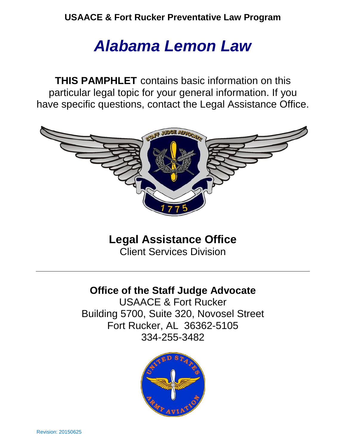# *Alabama Lemon Law*

**THIS PAMPHLET** contains basic information on this particular legal topic for your general information. If you have specific questions, contact the Legal Assistance Office.



**Legal Assistance Office**

Client Services Division

# **Office of the Staff Judge Advocate**

USAACE & Fort Rucker Building 5700, Suite 320, Novosel Street Fort Rucker, AL 36362-5105 334-255-3482

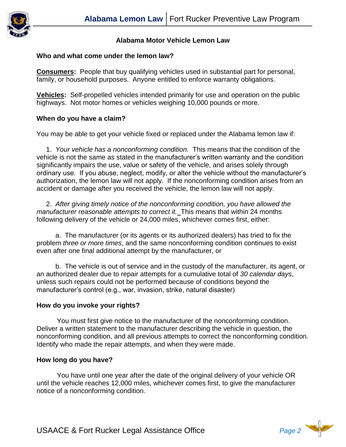

# **Alabama Motor Vehicle Lemon Law**

#### **Who and what come under the lemon law?**

**Consumers:** People that buy qualifying vehicles used in substantial part for personal, family, or household purposes. Anyone entitled to enforce warranty obligations.

**Vehicles:** Self-propelled vehicles intended primarily for use and operation on the public highways. Not motor homes or vehicles weighing 10,000 pounds or more.

# **When do you have a claim?**

You may be able to get your vehicle fixed or replaced under the Alabama lemon law if:

 1. *Your vehicle has a nonconforming condition.* This means that the condition of the vehicle is not the same as stated in the manufacturer's written warranty and the condition significantly impairs the use, value or safety of the vehicle, and arises solely through ordinary use. If you abuse, neglect, modify, or alter the vehicle without the manufacturer's authorization, the lemon law will not apply. If the nonconforming condition arises from an accident or damage after you received the vehicle, the lemon law will not apply.

 2. *After giving timely notice of the nonconforming condition, you have allowed the manufacturer reasonable attempts to correct it.* This means that within 24 months following delivery of the vehicle or 24,000 miles, whichever comes first, either:

 a. The manufacturer (or its agents or its authorized dealers) has tried to fix the problem *three or more times*, and the same nonconforming condition continues to exist even after one final additional attempt by the manufacturer, or

 b. The vehicle is out of service and in the custody of the manufacturer, its agent, or an authorized dealer due to repair attempts for a cumulative total of *30 calendar days*, unless such repairs could not be performed because of conditions beyond the manufacturer's control (e.g., war, invasion, strike, natural disaster)

# **How do you invoke your rights?**

You must first give notice to the manufacturer of the nonconforming condition. Deliver a written statement to the manufacturer describing the vehicle in question, the nonconforming condition, and all previous attempts to correct the nonconforming condition. Identify who made the repair attempts, and when they were made.

# **How long do you have?**

You have until one year after the date of the original delivery of your vehicle OR until the vehicle reaches 12,000 miles, whichever comes first, to give the manufacturer notice of a nonconforming condition.

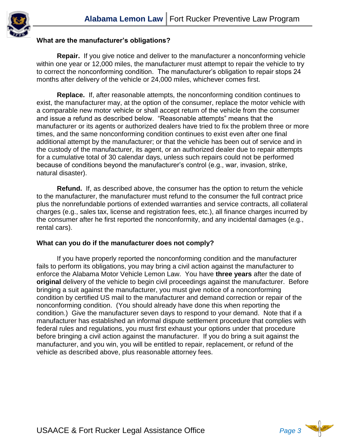

# **What are the manufacturer's obligations?**

**Repair.** If you give notice and deliver to the manufacturer a nonconforming vehicle within one year or 12,000 miles, the manufacturer must attempt to repair the vehicle to try to correct the nonconforming condition. The manufacturer's obligation to repair stops 24 months after delivery of the vehicle or 24,000 miles, whichever comes first.

**Replace.** If, after reasonable attempts, the nonconforming condition continues to exist, the manufacturer may, at the option of the consumer, replace the motor vehicle with a comparable new motor vehicle or shall accept return of the vehicle from the consumer and issue a refund as described below. "Reasonable attempts" means that the manufacturer or its agents or authorized dealers have tried to fix the problem three or more times, and the same nonconforming condition continues to exist even after one final additional attempt by the manufacturer; or that the vehicle has been out of service and in the custody of the manufacturer, its agent, or an authorized dealer due to repair attempts for a cumulative total of 30 calendar days, unless such repairs could not be performed because of conditions beyond the manufacturer's control (e.g., war, invasion, strike, natural disaster).

**Refund.** If, as described above, the consumer has the option to return the vehicle to the manufacturer, the manufacturer must refund to the consumer the full contract price plus the nonrefundable portions of extended warranties and service contracts, all collateral charges (e.g., sales tax, license and registration fees, etc.), all finance charges incurred by the consumer after he first reported the nonconformity, and any incidental damages (e.g., rental cars).

# **What can you do if the manufacturer does not comply?**

If you have properly reported the nonconforming condition and the manufacturer fails to perform its obligations, you may bring a civil action against the manufacturer to enforce the Alabama Motor Vehicle Lemon Law. You have **three years** after the date of **original** delivery of the vehicle to begin civil proceedings against the manufacturer. Before bringing a suit against the manufacturer, you must give notice of a nonconforming condition by certified US mail to the manufacturer and demand correction or repair of the nonconforming condition. (You should already have done this when reporting the condition.) Give the manufacturer seven days to respond to your demand. Note that if a manufacturer has established an informal dispute settlement procedure that complies with federal rules and regulations, you must first exhaust your options under that procedure before bringing a civil action against the manufacturer. If you do bring a suit against the manufacturer, and you win, you will be entitled to repair, replacement, or refund of the vehicle as described above, plus reasonable attorney fees.

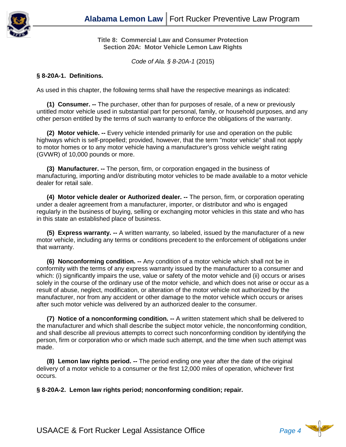

**Title 8: Commercial Law and Consumer Protection Section 20A: Motor Vehicle Lemon Law Rights**

*Code of Ala. § 8-20A-1* (2015)

## **§ 8-20A-1. Definitions.**

As used in this chapter, the following terms shall have the respective meanings as indicated:

**(1) Consumer. --** The purchaser, other than for purposes of resale, of a new or previously untitled motor vehicle used in substantial part for personal, family, or household purposes, and any other person entitled by the terms of such warranty to enforce the obligations of the warranty.

**(2) Motor vehicle. --** Every vehicle intended primarily for use and operation on the public highways which is self-propelled; provided, however, that the term "motor vehicle" shall not apply to motor homes or to any motor vehicle having a manufacturer's gross vehicle weight rating (GVWR) of 10,000 pounds or more.

**(3) Manufacturer. --** The person, firm, or corporation engaged in the business of manufacturing, importing and/or distributing motor vehicles to be made available to a motor vehicle dealer for retail sale.

**(4) Motor vehicle dealer or Authorized dealer. --** The person, firm, or corporation operating under a dealer agreement from a manufacturer, importer, or distributor and who is engaged regularly in the business of buying, selling or exchanging motor vehicles in this state and who has in this state an established place of business.

**(5) Express warranty. --** A written warranty, so labeled, issued by the manufacturer of a new motor vehicle, including any terms or conditions precedent to the enforcement of obligations under that warranty.

**(6) Nonconforming condition. --** Any condition of a motor vehicle which shall not be in conformity with the terms of any express warranty issued by the manufacturer to a consumer and which: (i) significantly impairs the use, value or safety of the motor vehicle and (ii) occurs or arises solely in the course of the ordinary use of the motor vehicle, and which does not arise or occur as a result of abuse, neglect, modification, or alteration of the motor vehicle not authorized by the manufacturer, nor from any accident or other damage to the motor vehicle which occurs or arises after such motor vehicle was delivered by an authorized dealer to the consumer.

**(7) Notice of a nonconforming condition. --** A written statement which shall be delivered to the manufacturer and which shall describe the subject motor vehicle, the nonconforming condition, and shall describe all previous attempts to correct such nonconforming condition by identifying the person, firm or corporation who or which made such attempt, and the time when such attempt was made.

**(8) Lemon law rights period. --** The period ending one year after the date of the original delivery of a motor vehicle to a consumer or the first 12,000 miles of operation, whichever first occurs.

**§ 8-20A-2. Lemon law rights period; nonconforming condition; repair.**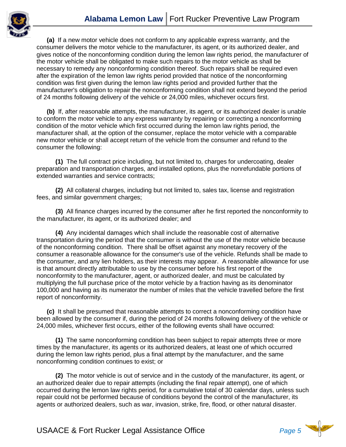

**(a)** If a new motor vehicle does not conform to any applicable express warranty, and the consumer delivers the motor vehicle to the manufacturer, its agent, or its authorized dealer, and gives notice of the nonconforming condition during the lemon law rights period, the manufacturer of the motor vehicle shall be obligated to make such repairs to the motor vehicle as shall be necessary to remedy any nonconforming condition thereof. Such repairs shall be required even after the expiration of the lemon law rights period provided that notice of the nonconforming condition was first given during the lemon law rights period and provided further that the manufacturer's obligation to repair the nonconforming condition shall not extend beyond the period of 24 months following delivery of the vehicle or 24,000 miles, whichever occurs first.

**(b)** If, after reasonable attempts, the manufacturer, its agent, or its authorized dealer is unable to conform the motor vehicle to any express warranty by repairing or correcting a nonconforming condition of the motor vehicle which first occurred during the lemon law rights period, the manufacturer shall, at the option of the consumer, replace the motor vehicle with a comparable new motor vehicle or shall accept return of the vehicle from the consumer and refund to the consumer the following:

 **(1)** The full contract price including, but not limited to, charges for undercoating, dealer preparation and transportation charges, and installed options, plus the nonrefundable portions of extended warranties and service contracts;

 **(2)** All collateral charges, including but not limited to, sales tax, license and registration fees, and similar government charges;

 **(3)** All finance charges incurred by the consumer after he first reported the nonconformity to the manufacturer, its agent, or its authorized dealer; and

 **(4)** Any incidental damages which shall include the reasonable cost of alternative transportation during the period that the consumer is without the use of the motor vehicle because of the nonconforming condition. There shall be offset against any monetary recovery of the consumer a reasonable allowance for the consumer's use of the vehicle. Refunds shall be made to the consumer, and any lien holders, as their interests may appear. A reasonable allowance for use is that amount directly attributable to use by the consumer before his first report of the nonconformity to the manufacturer, agent, or authorized dealer, and must be calculated by multiplying the full purchase price of the motor vehicle by a fraction having as its denominator 100,000 and having as its numerator the number of miles that the vehicle travelled before the first report of nonconformity.

**(c)** It shall be presumed that reasonable attempts to correct a nonconforming condition have been allowed by the consumer if, during the period of 24 months following delivery of the vehicle or 24,000 miles, whichever first occurs, either of the following events shall have occurred:

 **(1)** The same nonconforming condition has been subject to repair attempts three or more times by the manufacturer, its agents or its authorized dealers, at least one of which occurred during the lemon law rights period, plus a final attempt by the manufacturer, and the same nonconforming condition continues to exist; or

 **(2)** The motor vehicle is out of service and in the custody of the manufacturer, its agent, or an authorized dealer due to repair attempts (including the final repair attempt), one of which occurred during the lemon law rights period, for a cumulative total of 30 calendar days, unless such repair could not be performed because of conditions beyond the control of the manufacturer, its agents or authorized dealers, such as war, invasion, strike, fire, flood, or other natural disaster.

USAACE & Fort Rucker Legal Assistance Office *Page 5*

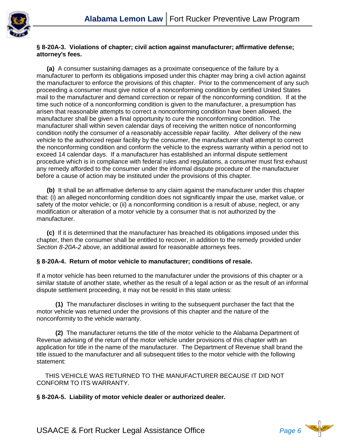

#### **§ 8-20A-3. Violations of chapter; civil action against manufacturer; affirmative defense; attorney's fees.**

**(a)** A consumer sustaining damages as a proximate consequence of the failure by a manufacturer to perform its obligations imposed under this chapter may bring a civil action against the manufacturer to enforce the provisions of this chapter. Prior to the commencement of any such proceeding a consumer must give notice of a nonconforming condition by certified United States mail to the manufacturer and demand correction or repair of the nonconforming condition. If at the time such notice of a nonconforming condition is given to the manufacturer, a presumption has arisen that reasonable attempts to correct a nonconforming condition have been allowed, the manufacturer shall be given a final opportunity to cure the nonconforming condition. The manufacturer shall within seven calendar days of receiving the written notice of nonconforming condition notify the consumer of a reasonably accessible repair facility. After delivery of the new vehicle to the authorized repair facility by the consumer, the manufacturer shall attempt to correct the nonconforming condition and conform the vehicle to the express warranty within a period not to exceed 14 calendar days. If a manufacturer has established an informal dispute settlement procedure which is in compliance with federal rules and regulations, a consumer must first exhaust any remedy afforded to the consumer under the informal dispute procedure of the manufacturer before a cause of action may be instituted under the provisions of this chapter.

**(b)** It shall be an affirmative defense to any claim against the manufacturer under this chapter that: (i) an alleged nonconforming condition does not significantly impair the use, market value, or safety of the motor vehicle; or (ii) a nonconforming condition is a result of abuse, neglect, or any modification or alteration of a motor vehicle by a consumer that is not authorized by the manufacturer.

**(c)** If it is determined that the manufacturer has breached its obligations imposed under this chapter, then the consumer shall be entitled to recover, in addition to the remedy provided under *Section 8-20A-2* above, an additional award for reasonable attorneys fees.

# **§ 8-20A-4. Return of motor vehicle to manufacturer; conditions of resale.**

If a motor vehicle has been returned to the manufacturer under the provisions of this chapter or a similar statute of another state, whether as the result of a legal action or as the result of an informal dispute settlement proceeding, it may not be resold in this state unless:

 **(1)** The manufacturer discloses in writing to the subsequent purchaser the fact that the motor vehicle was returned under the provisions of this chapter and the nature of the nonconformity to the vehicle warranty.

 **(2)** The manufacturer returns the title of the motor vehicle to the Alabama Department of Revenue advising of the return of the motor vehicle under provisions of this chapter with an application for title in the name of the manufacturer. The Department of Revenue shall brand the title issued to the manufacturer and all subsequent titles to the motor vehicle with the following statement:

 THIS VEHICLE WAS RETURNED TO THE MANUFACTURER BECAUSE IT DID NOT CONFORM TO ITS WARRANTY.

**§ 8-20A-5. Liability of motor vehicle dealer or authorized dealer.**

USAACE & Fort Rucker Legal Assistance Office *Page 6*